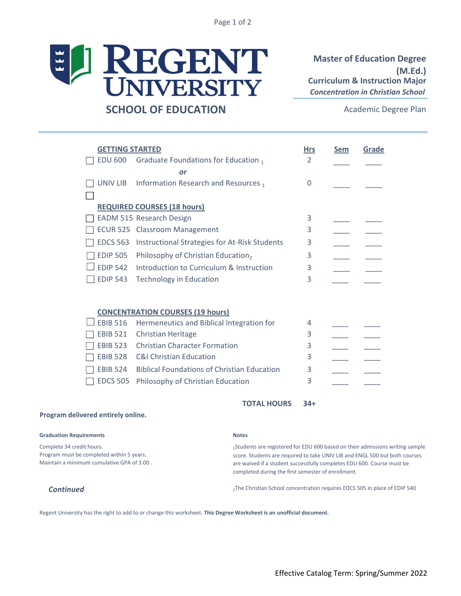Page 1 of 2



## **SCHOOL OF EDUCATION**

**Master of Education Degree (M.Ed.)**  *Concentration in Christian School* **Curriculum & Instruction Major**

Academic Degree Plan

|                                         | <b>GETTING STARTED</b> |                                                    | <b>Hrs</b> | <b>Sem</b> | Grade |  |
|-----------------------------------------|------------------------|----------------------------------------------------|------------|------------|-------|--|
|                                         | EDU 600                | Graduate Foundations for Education 1               | 2          |            |       |  |
| or                                      |                        |                                                    |            |            |       |  |
|                                         | UNIV LIB               | Information Research and Resources 1               | 0          |            |       |  |
|                                         |                        |                                                    |            |            |       |  |
| <b>REQUIRED COURSES (18 hours)</b>      |                        |                                                    |            |            |       |  |
|                                         |                        | EADM 515 Research Design                           | 3          |            |       |  |
|                                         |                        | <b>ECUR 525 Classroom Management</b>               | 3          |            |       |  |
|                                         | <b>EDCS 563</b>        | Instructional Strategies for At-Risk Students      | 3          |            |       |  |
|                                         | <b>EDIP 505</b>        | Philosophy of Christian Education,                 | 3          |            |       |  |
|                                         | <b>EDIP 542</b>        | Introduction to Curriculum & Instruction           | 3          |            |       |  |
|                                         | <b>EDIP 543</b>        | <b>Technology in Education</b>                     | 3          |            |       |  |
|                                         |                        |                                                    |            |            |       |  |
| <b>CONCENTRATION COURSES (19 hours)</b> |                        |                                                    |            |            |       |  |
|                                         | <b>EBIB 516</b>        | Hermeneutics and Biblical Integration for          | 4          |            |       |  |
|                                         | <b>EBIB 521</b>        | <b>Christian Heritage</b>                          | 3          |            |       |  |
|                                         | <b>EBIB 523</b>        | <b>Christian Character Formation</b>               | 3          |            |       |  |
|                                         | <b>EBIB 528</b>        | <b>C&amp;I Christian Education</b>                 | 3          |            |       |  |
|                                         | <b>EBIB 524</b>        | <b>Biblical Foundations of Christian Education</b> | 3          |            |       |  |
|                                         | <b>EDCS 505</b>        | Philosophy of Christian Education                  | 3          |            |       |  |
|                                         |                        |                                                    |            |            |       |  |

## **34+ TOTAL HOURS**

## **Program delivered entirely online.**

| <b>Graduation Requirements</b>                                                          | <b>Notes</b>                                                                                                                                                                                                |
|-----------------------------------------------------------------------------------------|-------------------------------------------------------------------------------------------------------------------------------------------------------------------------------------------------------------|
| Complete 34 credit hours.                                                               | <sub>1</sub> Students are registered for EDU 600 based on their admissions writing sample                                                                                                                   |
| Program must be completed within 5 years.<br>Maintain a minimum cumulative GPA of 3.00. | score. Students are required to take UNIV LIB and ENGL 500 but both courses<br>are waived if a student successfully completes EDU 600. Course must be<br>completed during the first semester of enrollment. |

**Continued** 2The Christian School concentration requires EDCS 505 in place of EDIP 540

Regent University has the right to add to or change this worksheet. **This Degree Worksheet is an unofficial document.**